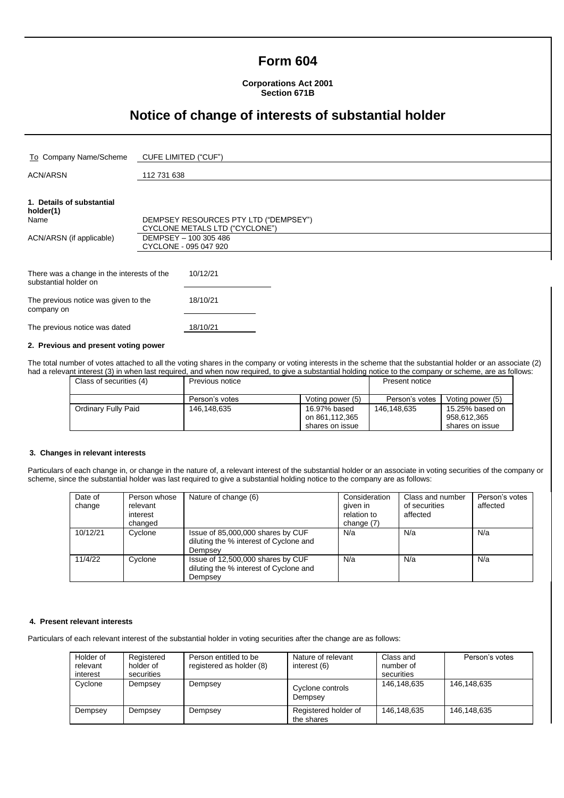# **Form 604**

### **Corporations Act 2001 Section 671B**

# **Notice of change of interests of substantial holder**

| To Company Name/Scheme                                              | CUFE LIMITED ("CUF")                  |  |  |
|---------------------------------------------------------------------|---------------------------------------|--|--|
|                                                                     |                                       |  |  |
| <b>ACN/ARSN</b>                                                     | 112 731 638                           |  |  |
|                                                                     |                                       |  |  |
| 1. Details of substantial<br>holder(1)                              |                                       |  |  |
| Name                                                                | DEMPSEY RESOURCES PTY LTD ("DEMPSEY") |  |  |
|                                                                     | CYCLONE METALS LTD ("CYCLONE")        |  |  |
| ACN/ARSN (if applicable)                                            | DEMPSEY - 100 305 486                 |  |  |
|                                                                     | CYCLONE - 095 047 920                 |  |  |
|                                                                     |                                       |  |  |
| There was a change in the interests of the<br>substantial holder on | 10/12/21                              |  |  |
| The previous notice wes given to the                                | 18/10/21                              |  |  |

| THE PIEVIOUS HOUGE WAS QIVELITY THE<br>company on | 10/10/21 |
|---------------------------------------------------|----------|
| The previous notice was dated                     | 18/10/21 |

### **2. Previous and present voting power**

The total number of votes attached to all the voting shares in the company or voting interests in the scheme that the substantial holder or an associate (2) had a relevant interest (3) in when last required, and when now required, to give a substantial holding notice to the company or scheme, are as follows:

| Class of securities (4) | Previous notice |                                | <b>Present notice</b> |                                |
|-------------------------|-----------------|--------------------------------|-----------------------|--------------------------------|
|                         | Person's votes  | Voting power (5)               | Person's votes        | Voting power (5)               |
| Ordinary Fully Paid     | 146,148,635     | 16.97% based<br>on 861,112,365 | 146,148,635           | 15.25% based on<br>958,612,365 |
|                         |                 | shares on issue                |                       | shares on issue                |

### **3. Changes in relevant interests**

Particulars of each change in, or change in the nature of, a relevant interest of the substantial holder or an associate in voting securities of the company or scheme, since the substantial holder was last required to give a substantial holding notice to the company are as follows:

| Date of<br>change | Person whose<br>relevant<br>interest<br>changed | Nature of change (6)                                                                   | Consideration<br>given in<br>relation to<br>change (7) | Class and number<br>of securities<br>affected | Person's votes<br>affected |
|-------------------|-------------------------------------------------|----------------------------------------------------------------------------------------|--------------------------------------------------------|-----------------------------------------------|----------------------------|
| 10/12/21          | Cyclone                                         | Issue of 85,000,000 shares by CUF<br>diluting the % interest of Cyclone and<br>Dempsey | N/a                                                    | N/a                                           | N/a                        |
| 11/4/22           | Cyclone                                         | Issue of 12,500,000 shares by CUF<br>diluting the % interest of Cyclone and<br>Dempsey | N/a                                                    | N/a                                           | N/a                        |

#### **4. Present relevant interests**

Particulars of each relevant interest of the substantial holder in voting securities after the change are as follows:

| Holder of<br>relevant<br>interest | Registered<br>holder of<br>securities | Person entitled to be<br>registered as holder (8) | Nature of relevant<br>interest (6) | Class and<br>number of<br>securities | Person's votes |
|-----------------------------------|---------------------------------------|---------------------------------------------------|------------------------------------|--------------------------------------|----------------|
| Cyclone                           | Dempsey                               | Dempsey                                           | Cyclone controls<br>Dempsev        | 146,148,635                          | 146,148,635    |
| Dempsey                           | Dempsey                               | Dempsey                                           | Registered holder of<br>the shares | 146.148.635                          | 146,148,635    |